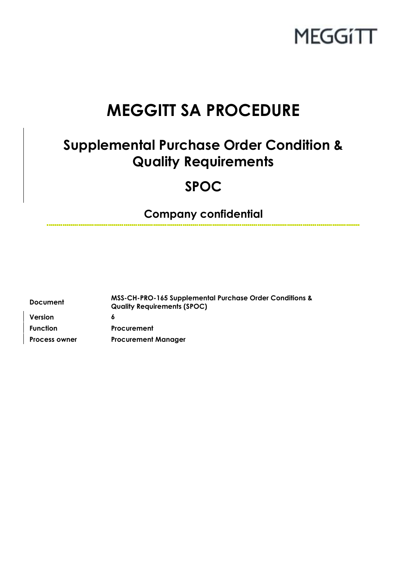

# **MEGGITT SA PROCEDURE**

## **Supplemental Purchase Order Condition & Quality Requirements**

## **SPOC**

**Company confidential**

| <b>Document</b>      | <b>MSS-CH-PRO-165 Supplemental Purchase Order Conditions &amp;</b><br><b>Quality Requirements (SPOC)</b> |
|----------------------|----------------------------------------------------------------------------------------------------------|
| Version              | 6                                                                                                        |
| <b>Function</b>      | <b>Procurement</b>                                                                                       |
| <b>Process owner</b> | <b>Procurement Manager</b>                                                                               |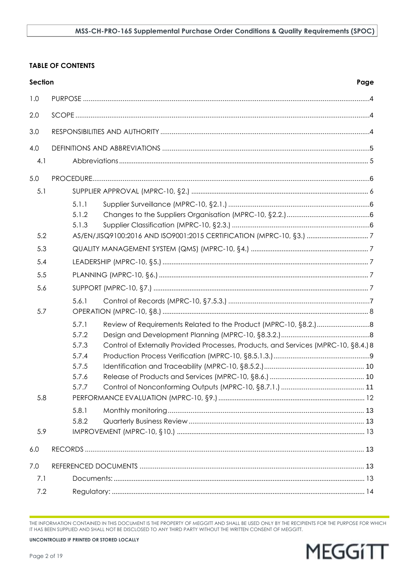#### **TABLE OF CONTENTS**

| <b>Section</b> | Page                                                                                         |  |  |  |
|----------------|----------------------------------------------------------------------------------------------|--|--|--|
| 1.0            |                                                                                              |  |  |  |
| 2.0            |                                                                                              |  |  |  |
| 3.0            |                                                                                              |  |  |  |
| 4.0            |                                                                                              |  |  |  |
| 4.1            |                                                                                              |  |  |  |
| 5.0            |                                                                                              |  |  |  |
| 5.1            |                                                                                              |  |  |  |
|                | 5.1.1                                                                                        |  |  |  |
|                | 5.1.2                                                                                        |  |  |  |
|                | 5.1.3                                                                                        |  |  |  |
| 5.2            |                                                                                              |  |  |  |
| 5.3            |                                                                                              |  |  |  |
| 5.4            |                                                                                              |  |  |  |
| 5.5            |                                                                                              |  |  |  |
| 5.6            |                                                                                              |  |  |  |
|                | 5.6.1                                                                                        |  |  |  |
| 5.7            |                                                                                              |  |  |  |
|                | 5.7.1                                                                                        |  |  |  |
|                | 5.7.2                                                                                        |  |  |  |
|                | 5.7.3<br>Control of Externally Provided Processes, Products, and Services (MPRC-10, §8.4.) 8 |  |  |  |
|                | 5.7.4                                                                                        |  |  |  |
|                | 5.7.5                                                                                        |  |  |  |
|                | 5.7.6                                                                                        |  |  |  |
| 5.8            | 5.7.7                                                                                        |  |  |  |
|                |                                                                                              |  |  |  |
|                | 5.8.1<br>5.8.2                                                                               |  |  |  |
| 5.9            |                                                                                              |  |  |  |
|                |                                                                                              |  |  |  |
| 6.0            |                                                                                              |  |  |  |
| 7.0            |                                                                                              |  |  |  |
| 7.1            |                                                                                              |  |  |  |
| 7.2            |                                                                                              |  |  |  |

THE INFORMATION CONTAINED IN THIS DOCUMENT IS THE PROPERTY OF MEGGITT AND SHALL BE USED ONLY BY THE RECIPIENTS FOR THE PURPOSE FOR WHICH<br>IT HAS BEEN SUPPLIED AND SHALL NOT BE DISCLOSED TO ANY THIRD PARTY WITHOUT THE WRITTE

**MEGGITT**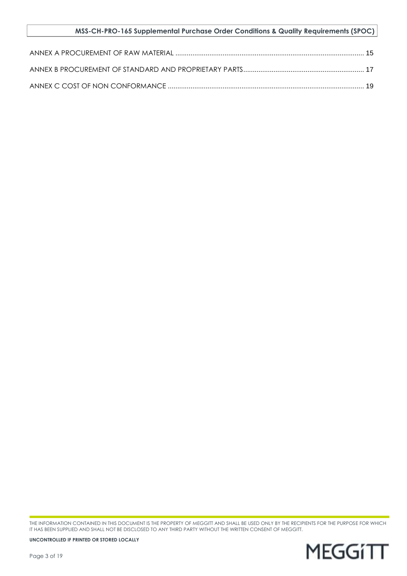#### **MSS-CH-PRO-165 Supplemental Purchase Order Conditions & Quality Requirements (SPOC)**

THE INFORMATION CONTAINED IN THIS DOCUMENT IS THE PROPERTY OF MEGGITT AND SHALL BE USED ONLY BY THE RECIPIENTS FOR THE PURPOSE FOR WHICH IT HAS BEEN SUPPLIED AND SHALL NOT BE DISCLOSED TO ANY THIRD PARTY WITHOUT THE WRITTEN CONSENT OF MEGGITT.

**MEGGITT**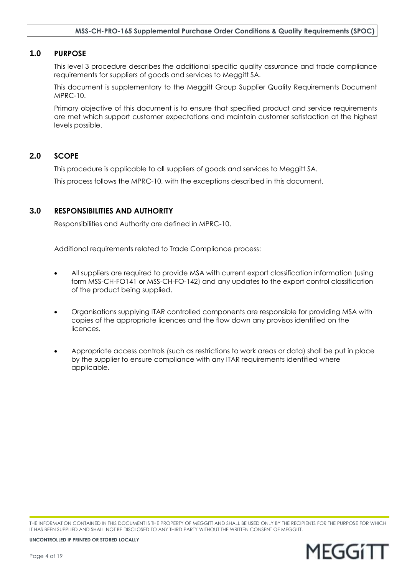#### <span id="page-3-0"></span>**1.0 PURPOSE**

This level 3 procedure describes the additional specific quality assurance and trade compliance requirements for suppliers of goods and services to Meggitt SA.

This document is supplementary to the Meggitt Group Supplier Quality Requirements Document MPRC-10.

Primary objective of this document is to ensure that specified product and service requirements are met which support customer expectations and maintain customer satisfaction at the highest levels possible.

#### <span id="page-3-1"></span>**2.0 SCOPE**

This procedure is applicable to all suppliers of goods and services to Meggitt SA.

This process follows the MPRC-10, with the exceptions described in this document.

#### <span id="page-3-2"></span>**3.0 RESPONSIBILITIES AND AUTHORITY**

Responsibilities and Authority are defined in MPRC-10.

Additional requirements related to Trade Compliance process:

- All suppliers are required to provide MSA with current export classification information (using form MSS-CH-FO141 or MSS-CH-FO-142) and any updates to the export control classification of the product being supplied.
- Organisations supplying ITAR controlled components are responsible for providing MSA with copies of the appropriate licences and the flow down any provisos identified on the licences.
- Appropriate access controls (such as restrictions to work areas or data) shall be put in place by the supplier to ensure compliance with any ITAR requirements identified where applicable.

THE INFORMATION CONTAINED IN THIS DOCUMENT IS THE PROPERTY OF MEGGITT AND SHALL BE USED ONLY BY THE RECIPIENTS FOR THE PURPOSE FOR WHICH IT HAS BEEN SUPPLIED AND SHALL NOT BE DISCLOSED TO ANY THIRD PARTY WITHOUT THE WRITTEN CONSENT OF MEGGITT.

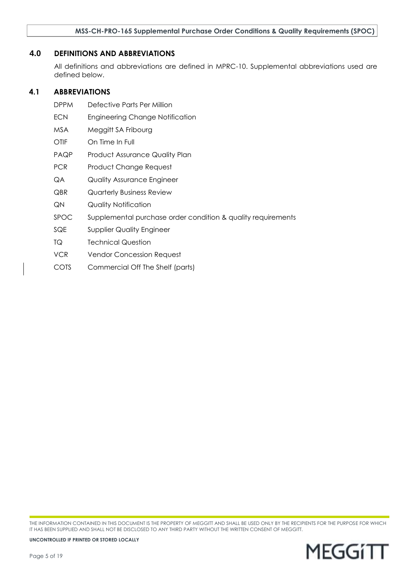#### <span id="page-4-0"></span>**4.0 DEFINITIONS AND ABBREVIATIONS**

All definitions and abbreviations are defined in MPRC-10. Supplemental abbreviations used are defined below.

#### <span id="page-4-1"></span>**4.1 ABBREVIATIONS**

- DPPM Defective Parts Per Million
- ECN Engineering Change Notification
- MSA Meggitt SA Fribourg
- OTIF On Time In Full
- PAQP Product Assurance Quality Plan
- PCR Product Change Request
- QA Quality Assurance Engineer
- QBR Quarterly Business Review
- QN Quality Notification
- SPOC Supplemental purchase order condition & quality requirements
- SQE Supplier Quality Engineer
- TQ Technical Question
- VCR Vendor Concession Request
- COTS Commercial Off The Shelf (parts)

THE INFORMATION CONTAINED IN THIS DOCUMENT IS THE PROPERTY OF MEGGITT AND SHALL BE USED ONLY BY THE RECIPIENTS FOR THE PURPOSE FOR WHICH IT HAS BEEN SUPPLIED AND SHALL NOT BE DISCLOSED TO ANY THIRD PARTY WITHOUT THE WRITTEN CONSENT OF MEGGITT.

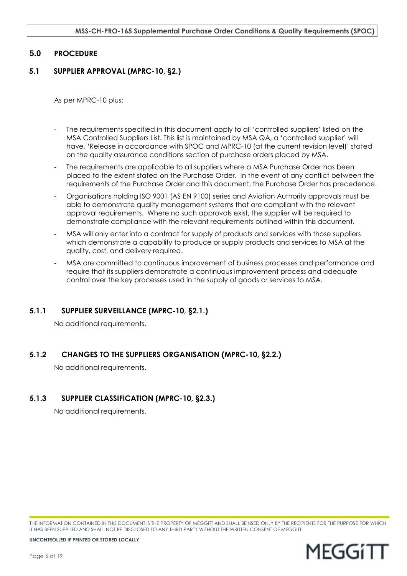#### <span id="page-5-0"></span>**5.0 PROCEDURE**

#### <span id="page-5-1"></span>**5.1 SUPPLIER APPROVAL (MPRC-10, §2.)**

As per MPRC-10 plus:

- The requirements specified in this document apply to all 'controlled suppliers' listed on the MSA Controlled Suppliers List. This list is maintained by MSA QA, a 'controlled supplier' will have, 'Release in accordance with SPOC and MPRC-10 (at the current revision level)' stated on the quality assurance conditions section of purchase orders placed by MSA.
- The requirements are applicable to all suppliers where a MSA Purchase Order has been placed to the extent stated on the Purchase Order. In the event of any conflict between the requirements of the Purchase Order and this document, the Purchase Order has precedence.
- Organisations holding ISO 9001 (AS EN 9100) series and Aviation Authority approvals must be able to demonstrate quality management systems that are compliant with the relevant approval requirements. Where no such approvals exist, the supplier will be required to demonstrate compliance with the relevant requirements outlined within this document.
- MSA will only enter into a contract for supply of products and services with those suppliers which demonstrate a capability to produce or supply products and services to MSA at the quality, cost, and delivery required.
- MSA are committed to continuous improvement of business processes and performance and require that its suppliers demonstrate a continuous improvement process and adequate control over the key processes used in the supply of goods or services to MSA.

## <span id="page-5-2"></span>**5.1.1 SUPPLIER SURVEILLANCE (MPRC-10, §2.1.)**

No additional requirements.

## <span id="page-5-3"></span>**5.1.2 CHANGES TO THE SUPPLIERS ORGANISATION (MPRC-10, §2.2.)**

No additional requirements.

## <span id="page-5-4"></span>**5.1.3 SUPPLIER CLASSIFICATION (MPRC-10, §2.3.)**

No additional requirements.

THE INFORMATION CONTAINED IN THIS DOCUMENT IS THE PROPERTY OF MEGGITT AND SHALL BE USED ONLY BY THE RECIPIENTS FOR THE PURPOSE FOR WHICH IT HAS BEEN SUPPLIED AND SHALL NOT BE DISCLOSED TO ANY THIRD PARTY WITHOUT THE WRITTEN CONSENT OF MEGGITT.

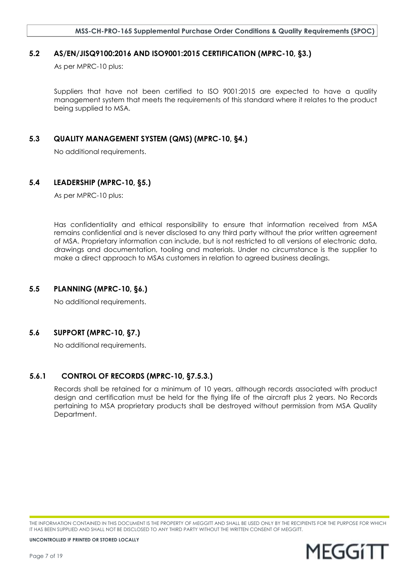#### <span id="page-6-0"></span>**5.2 AS/EN/JISQ9100:2016 AND ISO9001:2015 CERTIFICATION (MPRC-10, §3.)**

As per MPRC-10 plus:

Suppliers that have not been certified to ISO 9001:2015 are expected to have a quality management system that meets the requirements of this standard where it relates to the product being supplied to MSA.

#### <span id="page-6-1"></span>**5.3 QUALITY MANAGEMENT SYSTEM (QMS) (MPRC-10, §4.)**

No additional requirements.

#### <span id="page-6-2"></span>**5.4 LEADERSHIP (MPRC-10, §5.)**

As per MPRC-10 plus:

Has confidentiality and ethical responsibility to ensure that information received from MSA remains confidential and is never disclosed to any third party without the prior written agreement of MSA. Proprietary information can include, but is not restricted to all versions of electronic data, drawings and documentation, tooling and materials. Under no circumstance is the supplier to make a direct approach to MSAs customers in relation to agreed business dealings.

## <span id="page-6-3"></span>**5.5 PLANNING (MPRC-10, §6.)**

No additional requirements.

## <span id="page-6-4"></span>**5.6 SUPPORT (MPRC-10, §7.)**

No additional requirements.

## <span id="page-6-5"></span>**5.6.1 CONTROL OF RECORDS (MPRC-10, §7.5.3.)**

Records shall be retained for a minimum of 10 years, although records associated with product design and certification must be held for the flying life of the aircraft plus 2 years. No Records pertaining to MSA proprietary products shall be destroyed without permission from MSA Quality Department.

THE INFORMATION CONTAINED IN THIS DOCUMENT IS THE PROPERTY OF MEGGITT AND SHALL BE USED ONLY BY THE RECIPIENTS FOR THE PURPOSE FOR WHICH IT HAS BEEN SUPPLIED AND SHALL NOT BE DISCLOSED TO ANY THIRD PARTY WITHOUT THE WRITTEN CONSENT OF MEGGITT.

MEGGITI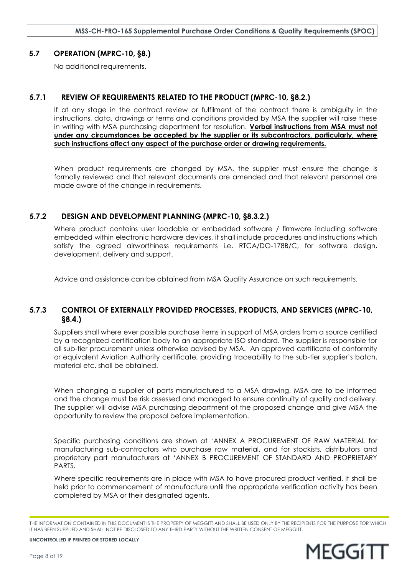#### <span id="page-7-0"></span>**5.7 OPERATION (MPRC-10, §8.)**

No additional requirements.

#### <span id="page-7-1"></span>**5.7.1 REVIEW OF REQUIREMENTS RELATED TO THE PRODUCT (MPRC-10, §8.2.)**

If at any stage in the contract review or fulfilment of the contract there is ambiguity in the instructions, data, drawings or terms and conditions provided by MSA the supplier will raise these in writing with MSA purchasing department for resolution. **Verbal instructions from MSA must not under any circumstances be accepted by the supplier or its subcontractors, particularly, where such instructions affect any aspect of the purchase order or drawing requirements.**

When product requirements are changed by MSA, the supplier must ensure the change is formally reviewed and that relevant documents are amended and that relevant personnel are made aware of the change in requirements.

#### <span id="page-7-2"></span>**5.7.2 DESIGN AND DEVELOPMENT PLANNING (MPRC-10, §8.3.2.)**

Where product contains user loadable or embedded software / firmware including software embedded within electronic hardware devices, it shall include procedures and instructions which satisfy the agreed airworthiness requirements i.e. RTCA/DO-178B/C, for software design, development, delivery and support.

Advice and assistance can be obtained from MSA Quality Assurance on such requirements.

## <span id="page-7-3"></span>**5.7.3 CONTROL OF EXTERNALLY PROVIDED PROCESSES, PRODUCTS, AND SERVICES (MPRC-10, §8.4.)**

Suppliers shall where ever possible purchase items in support of MSA orders from a source certified by a recognized certification body to an appropriate ISO standard. The supplier is responsible for all sub-tier procurement unless otherwise advised by MSA. An approved certificate of conformity or equivalent Aviation Authority certificate, providing traceability to the sub-tier supplier's batch, material etc. shall be obtained.

When changing a supplier of parts manufactured to a MSA drawing, MSA are to be informed and the change must be risk assessed and managed to ensure continuity of quality and delivery. The supplier will advise MSA purchasing department of the proposed change and give MSA the opportunity to review the proposal before implementation.

Specific purchasing conditions are shown at '[ANNEX A PROCUREMENT OF RAW MATERIAL](#page-14-0) for manufacturing sub-contractors who purchase raw material, and for stockists, distributors and proprietary part manufacturers at '[ANNEX B PROCUREMENT OF STANDARD AND PROPRIETARY](#page-16-0)  [PARTS.](#page-16-0)

Where specific requirements are in place with MSA to have procured product verified, it shall be held prior to commencement of manufacture until the appropriate verification activity has been completed by MSA or their designated agents.

THE INFORMATION CONTAINED IN THIS DOCUMENT IS THE PROPERTY OF MEGGITT AND SHALL BE USED ONLY BY THE RECIPIENTS FOR THE PURPOSE FOR WHICH IT HAS BEEN SUPPLIED AND SHALL NOT BE DISCLOSED TO ANY THIRD PARTY WITHOUT THE WRITTEN CONSENT OF MEGGITT.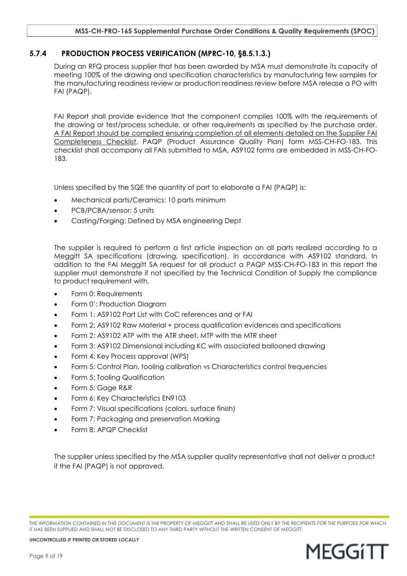#### **MSS-CH-PRO-165 Supplemental Purchase Order Conditions & Quality Requirements (SPOC)**

#### <span id="page-8-0"></span>**5.7.4 PRODUCTION PROCESS VERIFICATION (MPRC-10, §8.5.1.3.)**

During an RFQ process supplier that has been awarded by MSA must demonstrate its capacity of meeting 100% of the drawing and specification characteristics by manufacturing few samples for the manufacturing readiness review or production readiness review before MSA release a PO with FAI (PAQP).

FAI Report shall provide evidence that the component complies 100% with the requirements of the drawing or test/process schedule, or other requirements as specified by the purchase order. A FAI Report should be compiled ensuring completion of all elements detailed on the Supplier FAI Completeness Checklist, PAQP (Product Assurance Quality Plan) form MSS-CH-FO-183. This checklist shall accompany all FAIs submitted to MSA, AS9102 forms are embedded in MSS-CH-FO-183.

Unless specified by the SQE the quantity of part to elaborate a FAI (PAQP) is:

- Mechanical parts/Ceramics: 10 parts minimum
- PCB/PCBA/sensor: 5 units
- Casting/Forging: Defined by MSA engineering Dept

The supplier is required to perform a first article inspection on all parts realized according to a Meggitt SA specifications (drawing, specification), in accordance with AS9102 standard. In addition to the FAI Meggitt SA request for all product a PAQP MSS-CH-FO-183 in this report the supplier must demonstrate if not specified by the Technical Condition of Supply the compliance to product requirement with.

- Form 0: Requirements
- Form 0': Production Diagram
- Form 1: AS9102 Part List with CoC references and or FAI
- Form 2: AS9102 Raw Material + process qualification evidences and specifications
- Form 2: AS9102 ATP with the ATR sheet, MTP with the MTR sheet
- Form 3: AS9102 Dimensional including KC with associated ballooned drawing
- Form 4: Key Process approval (WPS)
- Form 5: Control Plan, tooling calibration vs Characteristics control frequencies
- Form 5: Tooling Qualification
- Form 5: Gage R&R
- Form 6: Key Characteristics EN9103
- Form 7: Visual specifications (colors, surface finish)
- Form 7: Packaging and preservation Marking
- Form 8: APQP Checklist

The supplier unless specified by the MSA supplier quality representative shall not deliver a product if the FAI (PAQP) is not approved.

THE INFORMATION CONTAINED IN THIS DOCUMENT IS THE PROPERTY OF MEGGITT AND SHALL BE USED ONLY BY THE RECIPIENTS FOR THE PURPOSE FOR WHICH IT HAS BEEN SUPPLIED AND SHALL NOT BE DISCLOSED TO ANY THIRD PARTY WITHOUT THE WRITTEN CONSENT OF MEGGITT.

MEGGITI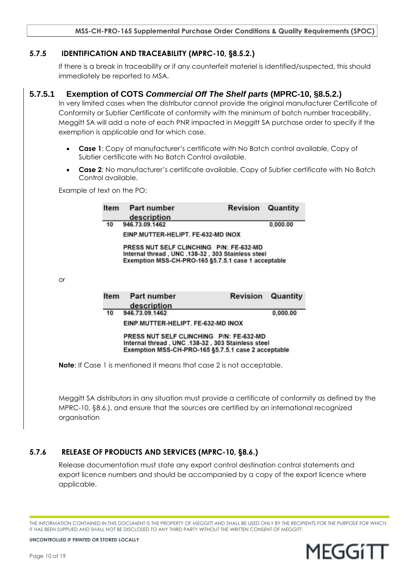#### <span id="page-9-0"></span>**5.7.5 IDENTIFICATION AND TRACEABILITY (MPRC-10, §8.5.2.)**

If there is a break in traceability or if any counterfeit materiel is identified/suspected, this should immediately be reported to MSA.

#### **5.7.5.1 Exemption of COTS** *Commercial Off The Shelf parts* **(MPRC-10, §8.5.2.)**

In very limited cases when the distributor cannot provide the original manufacturer Certificate of Conformity or Subtier Certificate of conformity with the minimum of batch number traceability, Meggitt SA will add a note of each PNR impacted in Meggitt SA purchase order to specify if the exemption is applicable and for which case.

- **Case 1**: Copy of manufacturer's certificate with No Batch control available, Copy of Subtier certificate with No Batch Control available.
- **Case 2**: No manufacturer's certificate available, Copy of Subtier certificate with No Batch Control available.

Example of text on the PO:

| <b>Item</b>                                                                                                                                         | Part number<br>description                                                                                                                          | <b>Revision</b> | Quantity                           |  |
|-----------------------------------------------------------------------------------------------------------------------------------------------------|-----------------------------------------------------------------------------------------------------------------------------------------------------|-----------------|------------------------------------|--|
| 10                                                                                                                                                  | 946.73.09.1462                                                                                                                                      |                 | 0,000.00                           |  |
|                                                                                                                                                     |                                                                                                                                                     |                 |                                    |  |
|                                                                                                                                                     | PRESS NUT SELF CLINCHING P/N: FE-632-MD<br>Internal thread, UNC .138-32, 303 Stainless steel<br>Exemption MSS-CH-PRO-165 §5.7.5.1 case 1 acceptable |                 |                                    |  |
|                                                                                                                                                     |                                                                                                                                                     |                 |                                    |  |
| Item                                                                                                                                                | Part number                                                                                                                                         | <b>Revision</b> | Quantity                           |  |
| 10                                                                                                                                                  | 946.73.09.1462                                                                                                                                      |                 | 0.000.00                           |  |
|                                                                                                                                                     | EINP.MUTTER-HELIPT. FE-632-MD INOX                                                                                                                  |                 |                                    |  |
| PRESS NUT SELF CLINCHING P/N: FE-632-MD<br>Internal thread, UNC .138-32, 303 Stainless steel<br>Exemption MSS-CH-PRO-165 §5.7.5.1 case 2 acceptable |                                                                                                                                                     |                 |                                    |  |
|                                                                                                                                                     |                                                                                                                                                     | description     | EINP.MUTTER-HELIPT. FE-632-MD INOX |  |

Meggitt SA distributors in any situation must provide a certificate of conformity as defined by the MPRC-10, §8.6.), and ensure that the sources are certified by an international recognized organisation

## <span id="page-9-1"></span>**5.7.6 RELEASE OF PRODUCTS AND SERVICES (MPRC-10, §8.6.)**

Release documentation must state any export control destination control statements and export licence numbers and should be accompanied by a copy of the export licence where applicable.



THE INFORMATION CONTAINED IN THIS DOCUMENT IS THE PROPERTY OF MEGGITT AND SHALL BE USED ONLY BY THE RECIPIENTS FOR THE PURPOSE FOR WHICH IT HAS BEEN SUPPLIED AND SHALL NOT BE DISCLOSED TO ANY THIRD PARTY WITHOUT THE WRITTEN CONSENT OF MEGGITT.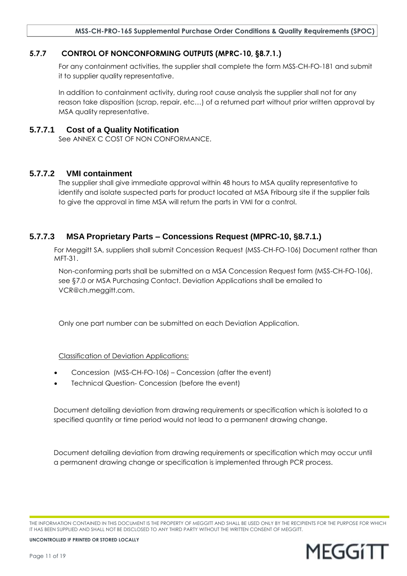## <span id="page-10-0"></span>**5.7.7 CONTROL OF NONCONFORMING OUTPUTS (MPRC-10, §8.7.1.)**

For any containment activities, the supplier shall complete the form MSS-CH-FO-181 and submit it to supplier quality representative.

In addition to containment activity, during root cause analysis the supplier shall not for any reason take disposition (scrap, repair, etc…) of a returned part without prior written approval by MSA quality representative.

## **5.7.7.1 Cost of a Quality Notification**

See [ANNEX C COST OF NON CONFORMANCE.](#page-18-1)

## **5.7.7.2 VMI containment**

The supplier shall give immediate approval within 48 hours to MSA quality representative to identify and isolate suspected parts for product located at MSA Fribourg site if the supplier fails to give the approval in time MSA will return the parts in VMI for a control.

## **5.7.7.3 MSA Proprietary Parts – Concessions Request (MPRC-10, §8.7.1.)**

For Meggitt SA, suppliers shall submit Concession Request (MSS-CH-FO-106) Document rather than MFT-31.

Non-conforming parts shall be submitted on a MSA Concession Request form (MSS-CH-FO-106), see [§7.0](#page-12-4) or MSA Purchasing Contact. Deviation Applications shall be emailed to [VCR@ch.meggitt.com.](file:///C:/Users/flas/AppData/Local/Microsoft/Windows/Temporary%20Internet%20Files/Content.Outlook/U0J1S2OY/VCR@ch.meggitt.com)

Only one part number can be submitted on each Deviation Application.

Classification of Deviation Applications:

- Concession (MSS-CH-FO-106) Concession (after the event)
- Technical Question- Concession (before the event)

Document detailing deviation from drawing requirements or specification which is isolated to a specified quantity or time period would not lead to a permanent drawing change.

Document detailing deviation from drawing requirements or specification which may occur until a permanent drawing change or specification is implemented through PCR process.

THE INFORMATION CONTAINED IN THIS DOCUMENT IS THE PROPERTY OF MEGGITT AND SHALL BE USED ONLY BY THE RECIPIENTS FOR THE PURPOSE FOR WHICH IT HAS BEEN SUPPLIED AND SHALL NOT BE DISCLOSED TO ANY THIRD PARTY WITHOUT THE WRITTEN CONSENT OF MEGGITT.

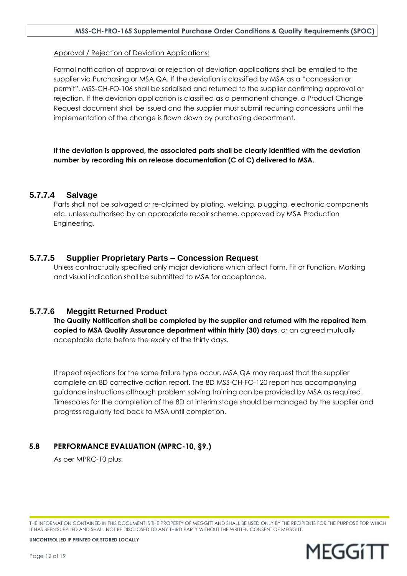Approval / Rejection of Deviation Applications:

Formal notification of approval or rejection of deviation applications shall be emailed to the supplier via Purchasing or MSA QA. If the deviation is classified by MSA as a "concession or permit", MSS-CH-FO-106 shall be serialised and returned to the supplier confirming approval or rejection. If the deviation application is classified as a permanent change, a Product Change Request document shall be issued and the supplier must submit recurring concessions until the implementation of the change is flown down by purchasing department.

**If the deviation is approved, the associated parts shall be clearly identified with the deviation number by recording this on release documentation (C of C) delivered to MSA.** 

## **5.7.7.4 Salvage**

Parts shall not be salvaged or re-claimed by plating, welding, plugging, electronic components etc. unless authorised by an appropriate repair scheme, approved by MSA Production Engineering.

## **5.7.7.5 Supplier Proprietary Parts – Concession Request**

Unless contractually specified only major deviations which affect Form, Fit or Function, Marking and visual indication shall be submitted to MSA for acceptance.

## **5.7.7.6 Meggitt Returned Product**

**The Quality Notification shall be completed by the supplier and returned with the repaired item copied to MSA Quality Assurance department within thirty (30) days**, or an agreed mutually acceptable date before the expiry of the thirty days.

If repeat rejections for the same failure type occur, MSA QA may request that the supplier complete an 8D corrective action report. The 8D MSS-CH-FO-120 report has accompanying guidance instructions although problem solving training can be provided by MSA as required. Timescales for the completion of the 8D at interim stage should be managed by the supplier and progress regularly fed back to MSA until completion.

## <span id="page-11-0"></span>**5.8 PERFORMANCE EVALUATION (MPRC-10, §9.)**

As per MPRC-10 plus:

THE INFORMATION CONTAINED IN THIS DOCUMENT IS THE PROPERTY OF MEGGITT AND SHALL BE USED ONLY BY THE RECIPIENTS FOR THE PURPOSE FOR WHICH IT HAS BEEN SUPPLIED AND SHALL NOT BE DISCLOSED TO ANY THIRD PARTY WITHOUT THE WRITTEN CONSENT OF MEGGITT.

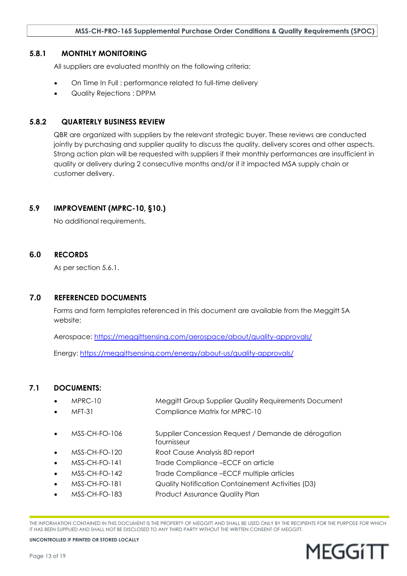#### <span id="page-12-0"></span>**5.8.1 MONTHLY MONITORING**

All suppliers are evaluated monthly on the following criteria:

- On Time In Full : performance related to full-time delivery
- Quality Rejections : DPPM

## <span id="page-12-1"></span>**5.8.2 QUARTERLY BUSINESS REVIEW**

QBR are organized with suppliers by the relevant strategic buyer. These reviews are conducted jointly by purchasing and supplier quality to discuss the quality, delivery scores and other aspects. Strong action plan will be requested with suppliers if their monthly performances are insufficient in quality or delivery during 2 consecutive months and/or if it impacted MSA supply chain or customer delivery.

## <span id="page-12-2"></span>**5.9 IMPROVEMENT (MPRC-10, §10.)**

No additional requirements.

#### <span id="page-12-3"></span>**6.0 RECORDS**

As per section [5.6.1.](#page-6-5)

#### <span id="page-12-4"></span>**7.0 REFERENCED DOCUMENTS**

Forms and form templates referenced in this document are available from the Meggitt SA website:

Aerospace:<https://meggittsensing.com/aerospace/about/quality-approvals/>

Energy:<https://meggittsensing.com/energy/about-us/quality-approvals/>

## <span id="page-12-5"></span>**7.1 DOCUMENTS:**

- MPRC-10 Meggitt Group Supplier Quality Requirements Document MFT-31 Compliance Matrix for MPRC-10
- - MSS-CH-FO-106 Supplier Concession Request / Demande de dérogation fournisseur
- MSS-CH-FO-120 Root Cause Analysis 8D report
- MSS-CH-FO-141 Trade Compliance –ECCF on article
- MSS-CH-FO-142 Trade Compliance –ECCF multiple articles
- MSS-CH-FO-181 Quality Notification Containement Activities (D3)
- MSS-CH-FO-183 Product Assurance Quality Plan

THE INFORMATION CONTAINED IN THIS DOCUMENT IS THE PROPERTY OF MEGGITT AND SHALL BE USED ONLY BY THE RECIPIENTS FOR THE PURPOSE FOR WHICH IT HAS BEEN SUPPLIED AND SHALL NOT BE DISCLOSED TO ANY THIRD PARTY WITHOUT THE WRITTEN CONSENT OF MEGGITT.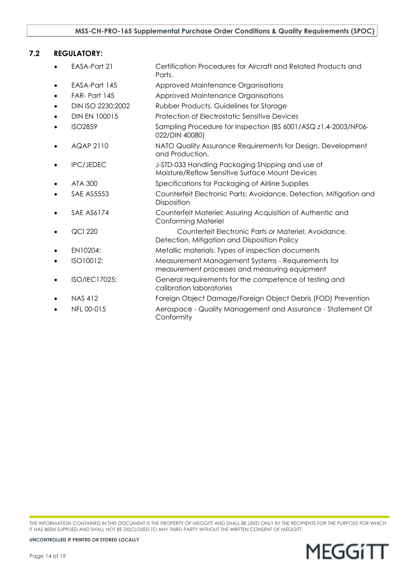## <span id="page-13-0"></span>**7.2 REGULATORY:**

| EASA-Part 21         | Certification Procedures for Aircraft and Related Products and<br>Parts.                             |
|----------------------|------------------------------------------------------------------------------------------------------|
| EASA-Part 145        | Approved Maintenance Organisations                                                                   |
| FAR-Part 145         | Approved Maintenance Organisations                                                                   |
| DIN ISO 2230:2002    | Rubber Products, Guidelines for Storage                                                              |
| <b>DIN EN 100015</b> | <b>Protection of Electrostatic Sensitive Devices</b>                                                 |
| <b>ISO2859</b>       | Sampling Procedure for Inspection (BS 6001/ASQ z1.4-2003/NF06-<br>022/DIN 40080)                     |
| <b>AQAP 2110</b>     | NATO Quality Assurance Requirements for Design, Development<br>and Production.                       |
| <b>IPC/JEDEC</b>     | J-STD-033 Handling Packaging Shipping and use of<br>Moisture/Reflow Sensitive Surface Mount Devices  |
| ATA 300              | Specifications for Packaging of Airline Supplies                                                     |
| <b>SAE AS5553</b>    | Counterfeit Electronic Parts; Avoidance, Detection, Mitigation and<br>Disposition                    |
| <b>SAE AS6174</b>    | Counterfeit Materiel; Assuring Acquisition of Authentic and<br><b>Conforming Materiel</b>            |
| <b>QCI 220</b>       | Counterfeit Electronic Parts or Materiel; Avoidance,<br>Detection, Mitigation and Disposition Policy |
| EN10204:             | Metallic materials. Types of inspection documents                                                    |
| ISO10012:            | Measurement Management Systems - Requirements for<br>measurement processes and measuring equipment   |
| ISO/IEC17025:        | General requirements for the competence of testing and<br>calibration laboratories                   |
| <b>NAS 412</b>       | Foreign Object Damage/Foreign Object Debris (FOD) Prevention                                         |
| NFL 00-015           | Aerospace - Quality Management and Assurance - Statement Of<br>Conformity                            |
|                      |                                                                                                      |

THE INFORMATION CONTAINED IN THIS DOCUMENT IS THE PROPERTY OF MEGGITT AND SHALL BE USED ONLY BY THE RECIPIENTS FOR THE PURPOSE FOR WHICH IT HAS BEEN SUPPLIED AND SHALL NOT BE DISCLOSED TO ANY THIRD PARTY WITHOUT THE WRITTEN CONSENT OF MEGGITT.

**MEGGITT**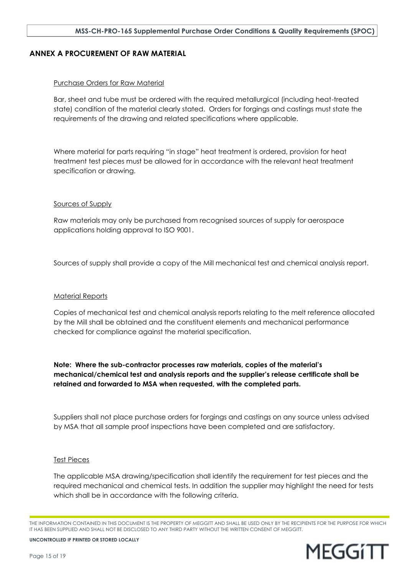#### <span id="page-14-0"></span>**ANNEX A PROCUREMENT OF RAW MATERIAL**

#### Purchase Orders for Raw Material

Bar, sheet and tube must be ordered with the required metallurgical (including heat-treated state) condition of the material clearly stated. Orders for forgings and castings must state the requirements of the drawing and related specifications where applicable.

Where material for parts requiring "in stage" heat treatment is ordered, provision for heat treatment test pieces must be allowed for in accordance with the relevant heat treatment specification or drawing.

#### Sources of Supply

Raw materials may only be purchased from recognised sources of supply for aerospace applications holding approval to ISO 9001.

Sources of supply shall provide a copy of the Mill mechanical test and chemical analysis report.

#### Material Reports

Copies of mechanical test and chemical analysis reports relating to the melt reference allocated by the Mill shall be obtained and the constituent elements and mechanical performance checked for compliance against the material specification.

**Note: Where the sub-contractor processes raw materials, copies of the material's mechanical/chemical test and analysis reports and the supplier's release certificate shall be retained and forwarded to MSA when requested, with the completed parts.**

Suppliers shall not place purchase orders for forgings and castings on any source unless advised by MSA that all sample proof inspections have been completed and are satisfactory.

#### Test Pieces

The applicable MSA drawing/specification shall identify the requirement for test pieces and the required mechanical and chemical tests. In addition the supplier may highlight the need for tests which shall be in accordance with the following criteria.

THE INFORMATION CONTAINED IN THIS DOCUMENT IS THE PROPERTY OF MEGGITT AND SHALL BE USED ONLY BY THE RECIPIENTS FOR THE PURPOSE FOR WHICH IT HAS BEEN SUPPLIED AND SHALL NOT BE DISCLOSED TO ANY THIRD PARTY WITHOUT THE WRITTEN CONSENT OF MEGGITT.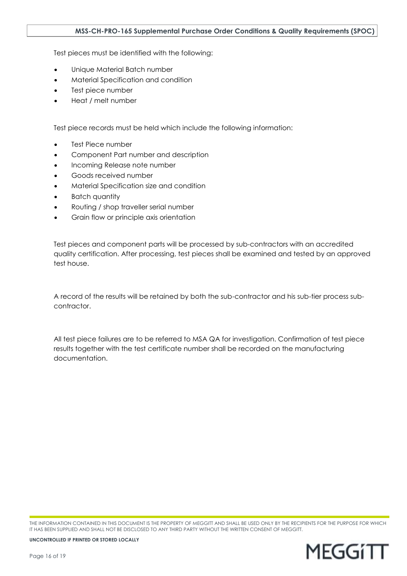Test pieces must be identified with the following:

- Unique Material Batch number
- Material Specification and condition
- Test piece number
- Heat / melt number

Test piece records must be held which include the following information:

- Test Piece number
- Component Part number and description
- Incoming Release note number
- Goods received number
- Material Specification size and condition
- Batch quantity
- Routing / shop traveller serial number
- Grain flow or principle axis orientation

Test pieces and component parts will be processed by sub-contractors with an accredited quality certification. After processing, test pieces shall be examined and tested by an approved test house.

A record of the results will be retained by both the sub-contractor and his sub-tier process subcontractor.

All test piece failures are to be referred to MSA QA for investigation. Confirmation of test piece results together with the test certificate number shall be recorded on the manufacturing documentation.

THE INFORMATION CONTAINED IN THIS DOCUMENT IS THE PROPERTY OF MEGGITT AND SHALL BE USED ONLY BY THE RECIPIENTS FOR THE PURPOSE FOR WHICH IT HAS BEEN SUPPLIED AND SHALL NOT BE DISCLOSED TO ANY THIRD PARTY WITHOUT THE WRITTEN CONSENT OF MEGGITT.

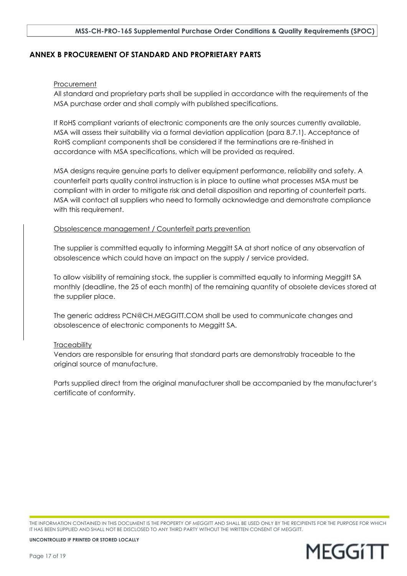#### <span id="page-16-0"></span>**ANNEX B PROCUREMENT OF STANDARD AND PROPRIETARY PARTS**

#### **Procurement**

All standard and proprietary parts shall be supplied in accordance with the requirements of the MSA purchase order and shall comply with published specifications.

If RoHS compliant variants of electronic components are the only sources currently available, MSA will assess their suitability via a formal deviation application (para 8.7.1). Acceptance of RoHS compliant components shall be considered if the terminations are re-finished in accordance with MSA specifications, which will be provided as required.

MSA designs require genuine parts to deliver equipment performance, reliability and safety. A counterfeit parts quality control instruction is in place to outline what processes MSA must be compliant with in order to mitigate risk and detail disposition and reporting of counterfeit parts. MSA will contact all suppliers who need to formally acknowledge and demonstrate compliance with this requirement.

#### Obsolescence management / Counterfeit parts prevention

The supplier is committed equally to informing Meggitt SA at short notice of any observation of obsolescence which could have an impact on the supply / service provided.

To allow visibility of remaining stock, the supplier is committed equally to informing Meggitt SA monthly (deadline, the 25 of each month) of the remaining quantity of obsolete devices stored at the supplier place.

The generic address PCN@CH.MEGGITT.COM shall be used to communicate changes and obsolescence of electronic components to Meggitt SA.

#### **Traceability**

Vendors are responsible for ensuring that standard parts are demonstrably traceable to the original source of manufacture.

Parts supplied direct from the original manufacturer shall be accompanied by the manufacturer's certificate of conformity.

THE INFORMATION CONTAINED IN THIS DOCUMENT IS THE PROPERTY OF MEGGITT AND SHALL BE USED ONLY BY THE RECIPIENTS FOR THE PURPOSE FOR WHICH IT HAS BEEN SUPPLIED AND SHALL NOT BE DISCLOSED TO ANY THIRD PARTY WITHOUT THE WRITTEN CONSENT OF MEGGITT.

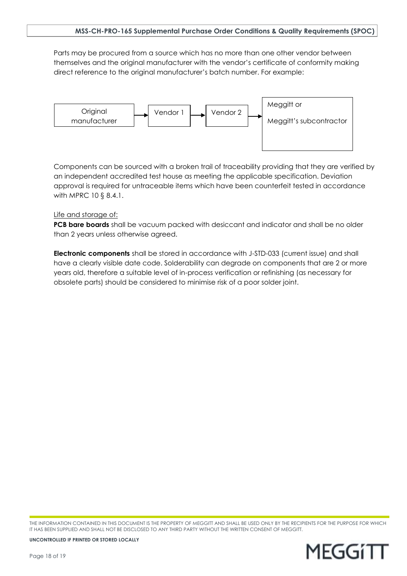Parts may be procured from a source which has no more than one other vendor between themselves and the original manufacturer with the vendor's certificate of conformity making direct reference to the original manufacturer's batch number. For example:



Components can be sourced with a broken trail of traceability providing that they are verified by an independent accredited test house as meeting the applicable specification. Deviation approval is required for untraceable items which have been counterfeit tested in accordance with MPRC 10 § 8.4.1.

#### Life and storage of:

**PCB bare boards** shall be vacuum packed with desiccant and indicator and shall be no older than 2 years unless otherwise agreed.

**Electronic components** shall be stored in accordance with J-STD-033 (current issue) and shall have a clearly visible date code. Solderability can degrade on components that are 2 or more years old, therefore a suitable level of in-process verification or refinishing (as necessary for obsolete parts) should be considered to minimise risk of a poor solder joint.

THE INFORMATION CONTAINED IN THIS DOCUMENT IS THE PROPERTY OF MEGGITT AND SHALL BE USED ONLY BY THE RECIPIENTS FOR THE PURPOSE FOR WHICH IT HAS BEEN SUPPLIED AND SHALL NOT BE DISCLOSED TO ANY THIRD PARTY WITHOUT THE WRITTEN CONSENT OF MEGGITT.